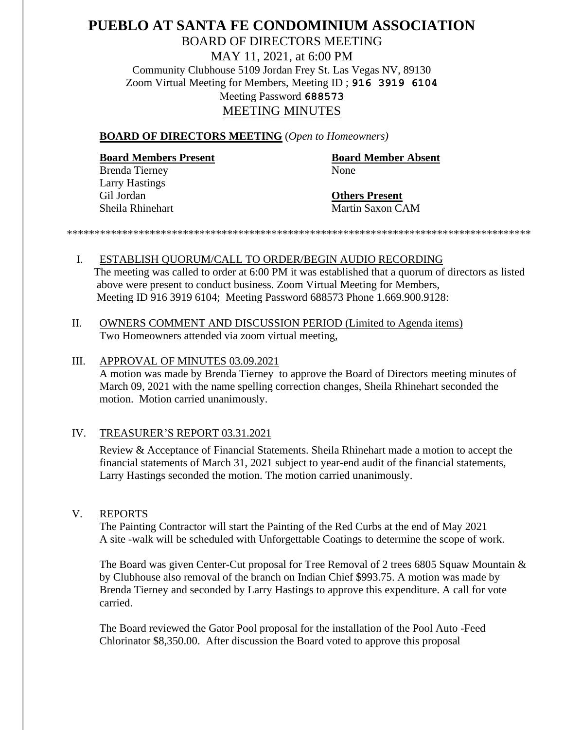# **PUEBLO AT SANTA FE CONDOMINIUM ASSOCIATION** BOARD OF DIRECTORS MEETING MAY 11, 2021, at 6:00 PM Community Clubhouse 5109 Jordan Frey St. Las Vegas NV, 89130 Zoom Virtual Meeting for Members, Meeting ID ; **916 3919 6104** Meeting Password **688573** MEETING MINUTES

#### **BOARD OF DIRECTORS MEETING** (*Open to Homeowners)*

#### **Board Members Present Board Member Absent**

Brenda Tierney None Larry Hastings Gil Jordan **Others Present**

Sheila Rhinehart Martin Saxon CAM

*\*\*\*\*\*\*\*\*\*\*\*\*\*\*\*\*\*\*\*\*\*\*\*\*\*\*\*\*\*\*\*\*\*\*\*\*\*\*\*\*\*\*\*\*\*\*\*\*\*\*\*\*\*\*\*\*\*\*\*\*\*\*\*\*\*\*\*\*\*\*\*\*\*\*\*\*\*\*\*\*\*\*\*\**

- I. ESTABLISH QUORUM/CALL TO ORDER/BEGIN AUDIO RECORDING The meeting was called to order at 6:00 PM it was established that a quorum of directors as listed above were present to conduct business. Zoom Virtual Meeting for Members, Meeting ID 916 3919 6104; Meeting Password 688573 Phone 1.669.900.9128:
- II. OWNERS COMMENT AND DISCUSSION PERIOD (Limited to Agenda items) Two Homeowners attended via zoom virtual meeting,

#### III. APPROVAL OF MINUTES 03.09.2021

A motion was made by Brenda Tierney to approve the Board of Directors meeting minutes of March 09, 2021 with the name spelling correction changes, Sheila Rhinehart seconded the motion. Motion carried unanimously.

#### IV. TREASURER'S REPORT 03.31.2021

Review & Acceptance of Financial Statements. Sheila Rhinehart made a motion to accept the financial statements of March 31, 2021 subject to year-end audit of the financial statements, Larry Hastings seconded the motion. The motion carried unanimously.

#### V. REPORTS

The Painting Contractor will start the Painting of the Red Curbs at the end of May 2021 A site -walk will be scheduled with Unforgettable Coatings to determine the scope of work.

The Board was given Center-Cut proposal for Tree Removal of 2 trees 6805 Squaw Mountain & by Clubhouse also removal of the branch on Indian Chief \$993.75. A motion was made by Brenda Tierney and seconded by Larry Hastings to approve this expenditure. A call for vote carried.

The Board reviewed the Gator Pool proposal for the installation of the Pool Auto -Feed Chlorinator \$8,350.00. After discussion the Board voted to approve this proposal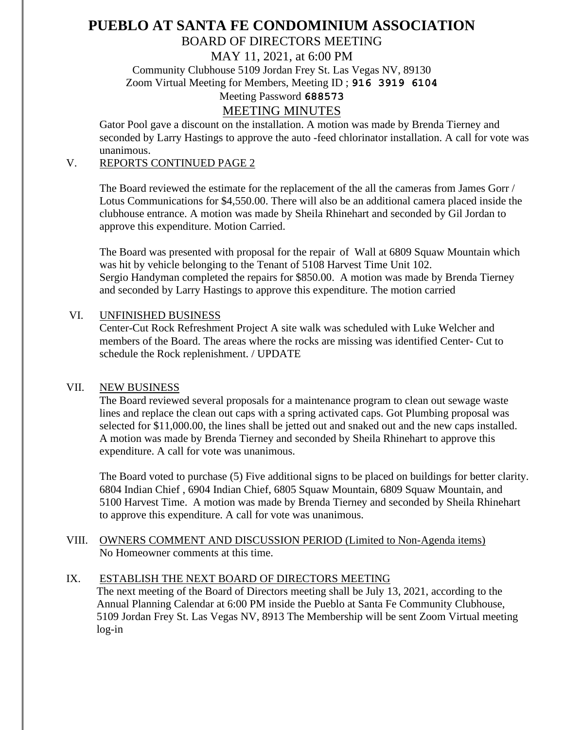# **PUEBLO AT SANTA FE CONDOMINIUM ASSOCIATION**

# BOARD OF DIRECTORS MEETING

MAY 11, 2021, at 6:00 PM

Community Clubhouse 5109 Jordan Frey St. Las Vegas NV, 89130

Zoom Virtual Meeting for Members, Meeting ID ; **916 3919 6104**

# Meeting Password **688573**

## MEETING MINUTES

Gator Pool gave a discount on the installation. A motion was made by Brenda Tierney and seconded by Larry Hastings to approve the auto -feed chlorinator installation. A call for vote was unanimous.

## V. REPORTS CONTINUED PAGE 2

The Board reviewed the estimate for the replacement of the all the cameras from James Gorr / Lotus Communications for \$4,550.00. There will also be an additional camera placed inside the clubhouse entrance. A motion was made by Sheila Rhinehart and seconded by Gil Jordan to approve this expenditure. Motion Carried.

The Board was presented with proposal for the repair of Wall at 6809 Squaw Mountain which was hit by vehicle belonging to the Tenant of 5108 Harvest Time Unit 102. Sergio Handyman completed the repairs for \$850.00. A motion was made by Brenda Tierney and seconded by Larry Hastings to approve this expenditure. The motion carried

#### VI. UNFINISHED BUSINESS

Center-Cut Rock Refreshment Project A site walk was scheduled with Luke Welcher and members of the Board. The areas where the rocks are missing was identified Center- Cut to schedule the Rock replenishment. / UPDATE

### VII. NEW BUSINESS

The Board reviewed several proposals for a maintenance program to clean out sewage waste lines and replace the clean out caps with a spring activated caps. Got Plumbing proposal was selected for \$11,000.00, the lines shall be jetted out and snaked out and the new caps installed. A motion was made by Brenda Tierney and seconded by Sheila Rhinehart to approve this expenditure. A call for vote was unanimous.

The Board voted to purchase (5) Five additional signs to be placed on buildings for better clarity. 6804 Indian Chief , 6904 Indian Chief, 6805 Squaw Mountain, 6809 Squaw Mountain, and 5100 Harvest Time. A motion was made by Brenda Tierney and seconded by Sheila Rhinehart to approve this expenditure. A call for vote was unanimous.

VIII. OWNERS COMMENT AND DISCUSSION PERIOD (Limited to Non-Agenda items) No Homeowner comments at this time.

### IX. ESTABLISH THE NEXT BOARD OF DIRECTORS MEETING

 The next meeting of the Board of Directors meeting shall be July 13, 2021, according to the Annual Planning Calendar at 6:00 PM inside the Pueblo at Santa Fe Community Clubhouse, 5109 Jordan Frey St. Las Vegas NV, 8913 The Membership will be sent Zoom Virtual meeting log-in